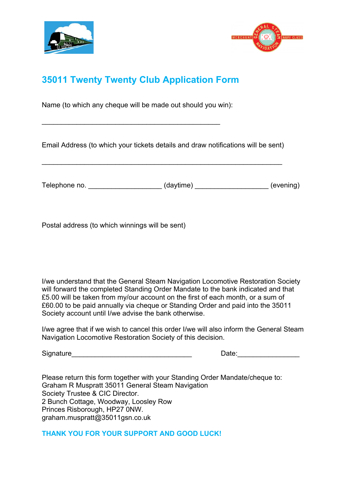



## **35011 Twenty Twenty Club Application Form**

Name (to which any cheque will be made out should you win):

\_\_\_\_\_\_\_\_\_\_\_\_\_\_\_\_\_\_\_\_\_\_\_\_\_\_\_\_\_\_\_\_\_\_\_\_\_\_\_\_\_\_\_\_\_\_

Email Address (to which your tickets details and draw notifications will be sent)

\_\_\_\_\_\_\_\_\_\_\_\_\_\_\_\_\_\_\_\_\_\_\_\_\_\_\_\_\_\_\_\_\_\_\_\_\_\_\_\_\_\_\_\_\_\_\_\_\_\_\_\_\_\_\_\_\_\_\_\_\_\_

Telephone no. <br>  $\qquad \qquad$  (daytime)  $\qquad \qquad$  (evening)

Postal address (to which winnings will be sent)

I/we understand that the General Steam Navigation Locomotive Restoration Society will forward the completed Standing Order Mandate to the bank indicated and that £5.00 will be taken from my/our account on the first of each month, or a sum of £60.00 to be paid annually via cheque or Standing Order and paid into the 35011 Society account until I/we advise the bank otherwise.

I/we agree that if we wish to cancel this order I/we will also inform the General Steam Navigation Locomotive Restoration Society of this decision.

Signature example of the state of the state of the Date:

Please return this form together with your Standing Order Mandate/cheque to: Graham R Muspratt 35011 General Steam Navigation Society Trustee & CIC Director. 2 Bunch Cottage, Woodway, Loosley Row Princes Risborough, HP27 0NW. graham.muspratt@35011gsn.co.uk

**THANK YOU FOR YOUR SUPPORT AND GOOD LUCK!**